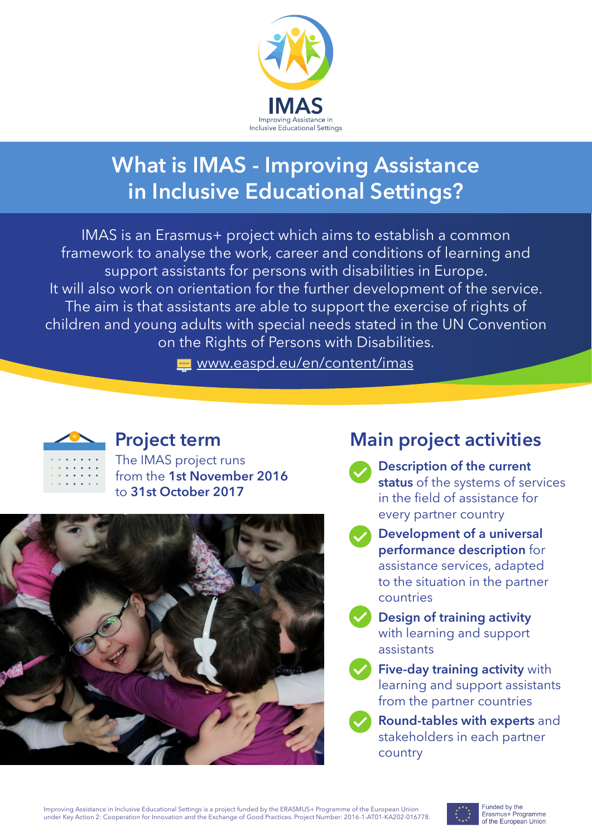

# **What is IMAS - Improving Assistance in Inclusive Educational Settings?**

IMAS is an Erasmus+ project which aims to establish a common framework to analyse the work, career and conditions of learning and support assistants for persons with disabilities in Europe. It will also work on orientation for the further development of the service. The aim is that assistants are able to support the exercise of rights of children and young adults with special needs stated in the UN Convention on the Rights of Persons with Disabilities.

www.easpd.eu/en/content/imas



## **Project term**

The IMAS project runs from the **1st November 2016** to **31st October 2017**



# **Main project activities**

- **Description of the current status** of the systems of services in the field of assistance for every partner country
- **Development of a universal performance description** for assistance services, adapted to the situation in the partner countries
- **Design of training activity** with learning and support assistants
- **Five-day training activity** with learning and support assistants from the partner countries
- **Round-tables with experts** and stakeholders in each partner country